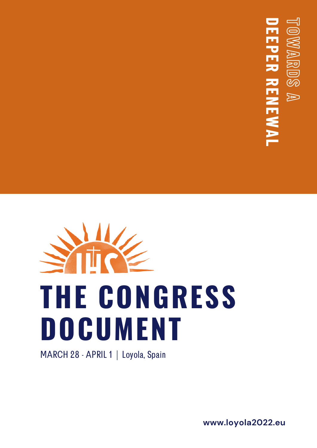## **D E E P E R R E N E W A L T O**  $\approx$ **A R D S A**



MARCH 28 - APRIL 1 | Loyola, Spain

**www.loyola2022.eu**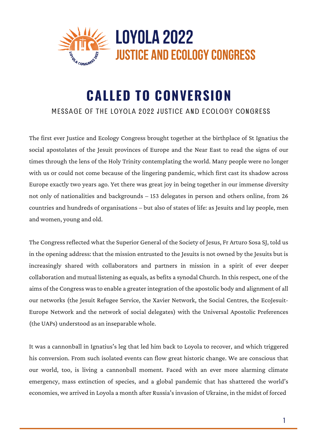

## **CALLED TO CONVERSION**

## MESSAGE OF THE LOYOLA 2022 JUSTICE AND ECOLOGY CONGRESS

The first ever Justice and Ecology Congress brought together at the birthplace of St Ignatius the social apostolates of the Jesuit provinces of Europe and the Near East to read the signs of our times through the lens of the Holy Trinity contemplating the world. Many people were no longer with us or could not come because of the lingering pandemic, which first cast its shadow across Europe exactly two years ago. Yet there was great joy in being together in our immense diversity not only of nationalities and backgrounds – 153 delegates in person and others online, from 26 countries and hundreds of organisations – but also of states of life: as Jesuits and lay people, men and women, young and old.

The Congress reflected what the Superior General of the Society of Jesus, Fr Arturo Sosa SJ, told us in the opening address: that the mission entrusted to the Jesuits is not owned by the Jesuits but is increasingly shared with collaborators and partners in mission in a spirit of ever deeper collaboration and mutual listening as equals, as befits a synodal Church. In thisrespect, one of the aims of the Congress was to enable a greater integration of the apostolic body and alignment of all our networks (the Jesuit Refugee Service, the Xavier Network, the Social Centres, the EcoJesuit-Europe Network and the network of social delegates) with the Universal Apostolic Preferences (the UAPs) understood as an inseparable whole.

It was a cannonball in Ignatius's leg that led him back to Loyola to recover, and which triggered his conversion. From such isolated events can flow great historic change. We are conscious that our world, too, is living a cannonball moment. Faced with an ever more alarming climate emergency, mass extinction of species, and a global pandemic that has shattered the world's economies, we arrived in Loyola a month after Russia's invasion of Ukraine, in the midst of forced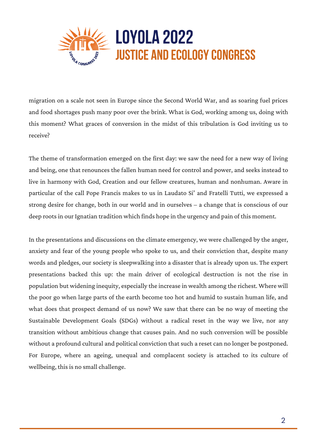

migration on a scale not seen in Europe since the Second World War, and as soaring fuel prices and food shortages push many poor over the brink. What is God, working among us, doing with this moment? What graces of conversion in the midst of this tribulation is God inviting us to receive?

The theme of transformation emerged on the first day: we saw the need for a new way of living and being, one that renounces the fallen human need for control and power, and seeks instead to live in harmony with God, Creation and our fellow creatures, human and nonhuman. Aware in particular of the call Pope Francis makes to us in Laudato Si' and Fratelli Tutti, we expressed a strong desire for change, both in our world and in ourselves – a change that is conscious of our deep roots in our Ignatian tradition which finds hope in the urgency and pain of this moment.

In the presentations and discussions on the climate emergency, we were challenged by the anger, anxiety and fear of the young people who spoke to us, and their conviction that, despite many words and pledges, our society is sleepwalking into a disaster that is already upon us. The expert presentations backed this up: the main driver of ecological destruction is not the rise in population but widening inequity, especially the increase in wealth among the richest. Where will the poor go when large parts of the earth become too hot and humid to sustain human life, and what does that prospect demand of us now? We saw that there can be no way of meeting the Sustainable Development Goals (SDGs) without a radical reset in the way we live, nor any transition without ambitious change that causes pain. And no such conversion will be possible without a profound cultural and political conviction that such a reset can no longer be postponed. For Europe, where an ageing, unequal and complacent society is attached to its culture of wellbeing, this is no small challenge.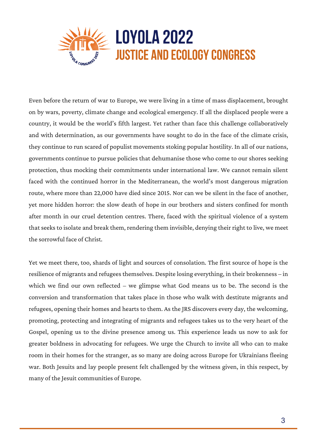

Even before the return of war to Europe, we were living in a time of mass displacement, brought on by wars, poverty, climate change and ecological emergency. If all the displaced people were a country, it would be the world's fifth largest. Yet rather than face this challenge collaboratively and with determination, as our governments have sought to do in the face of the climate crisis, they continue to run scared of populist movements stoking popular hostility. In all of our nations, governments continue to pursue policies that dehumanise those who come to our shores seeking protection, thus mocking their commitments under international law. We cannot remain silent faced with the continued horror in the Mediterranean, the world's most dangerous migration route, where more than 22,000 have died since 2015. Nor can we be silent in the face of another, yet more hidden horror: the slow death of hope in our brothers and sisters confined for month after month in our cruel detention centres. There, faced with the spiritual violence of a system that seeks to isolate and break them, rendering them invisible, denying their right to live, we meet the sorrowful face of Christ.

Yet we meet there, too, shards of light and sources of consolation. The first source of hope is the resilience of migrants and refugees themselves. Despite losing everything, in their brokenness – in which we find our own reflected – we glimpse what God means us to be. The second is the conversion and transformation that takes place in those who walk with destitute migrants and refugees, opening their homes and hearts to them. As the JRS discovers every day, the welcoming, promoting, protecting and integrating of migrants and refugees takes us to the very heart of the Gospel, opening us to the divine presence among us. This experience leads us now to ask for greater boldness in advocating for refugees. We urge the Church to invite all who can to make room in their homes for the stranger, as so many are doing across Europe for Ukrainians fleeing war. Both Jesuits and lay people present felt challenged by the witness given, in this respect, by many of the Jesuit communities of Europe.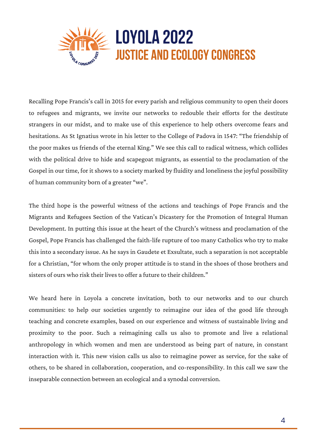

Recalling Pope Francis's call in 2015 for every parish and religious community to open their doors to refugees and migrants, we invite our networks to redouble their efforts for the destitute strangers in our midst, and to make use of this experience to help others overcome fears and hesitations. As St Ignatius wrote in his letter to the College of Padova in 1547: "The friendship of the poor makes us friends of the eternal King." We see this call to radical witness, which collides with the political drive to hide and scapegoat migrants, as essential to the proclamation of the Gospel in our time, for it shows to a society marked by fluidity and loneliness the joyful possibility of human community born of a greater "we".

The third hope is the powerful witness of the actions and teachings of Pope Francis and the Migrants and Refugees Section of the Vatican's Dicastery for the Promotion of Integral Human Development. In putting this issue at the heart of the Church's witness and proclamation of the Gospel, Pope Francis has challenged the faith-life rupture of too many Catholics who try to make this into a secondary issue. As he says in Gaudete et Exsultate, such a separation is not acceptable for a Christian, "for whom the only proper attitude is to stand in the shoes of those brothers and sisters of ours who risk their lives to offer a future to their children."

We heard here in Loyola a concrete invitation, both to our networks and to our church communities: to help our societies urgently to reimagine our idea of the good life through teaching and concrete examples, based on our experience and witness of sustainable living and proximity to the poor. Such a reimagining calls us also to promote and live a relational anthropology in which women and men are understood as being part of nature, in constant interaction with it. This new vision calls us also to reimagine power as service, for the sake of others, to be shared in collaboration, cooperation, and co-responsibility. In this call we saw the inseparable connection between an ecological and a synodal conversion.